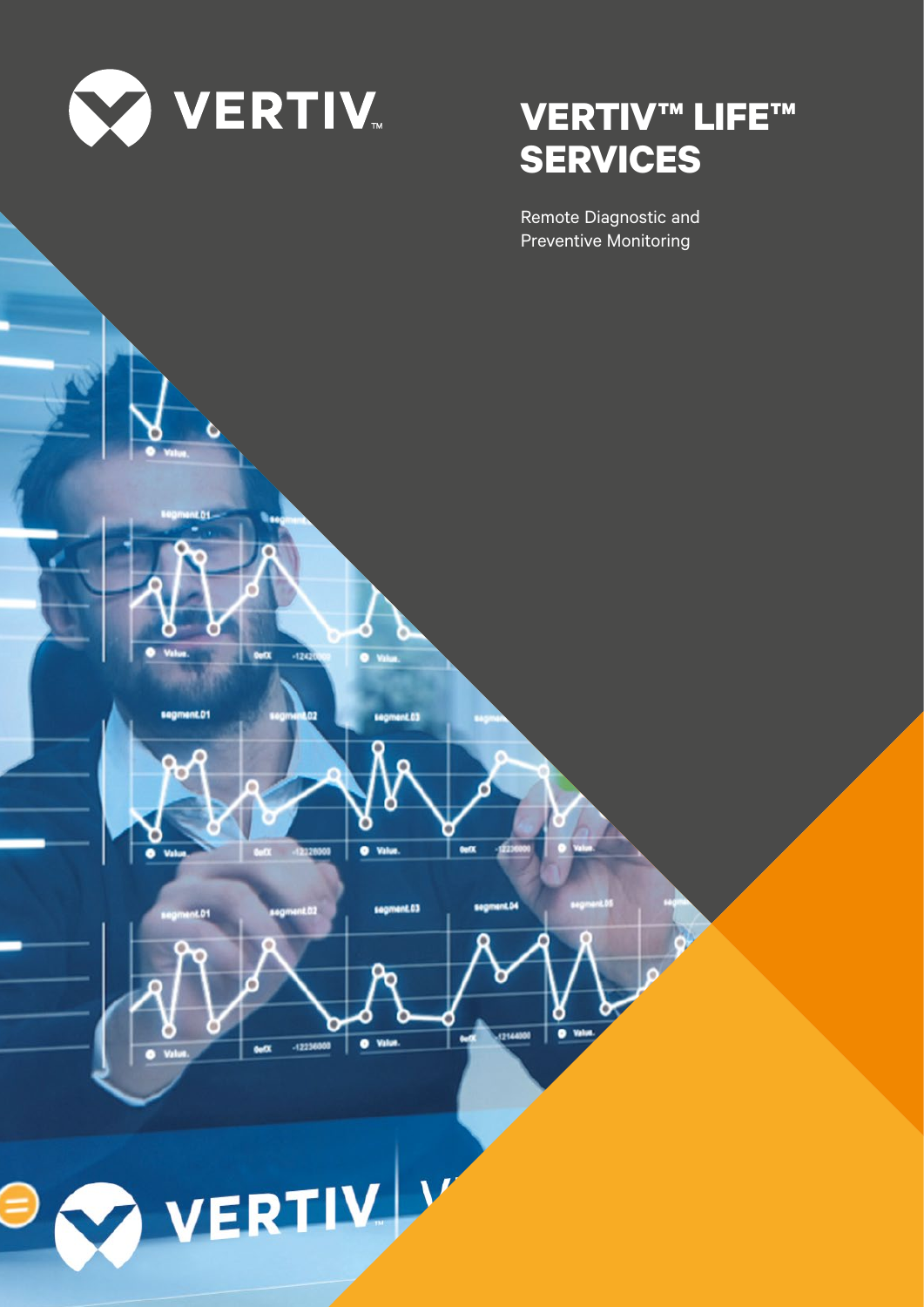

# **VERTIV™ LIFE™ SERVICES**

Remote Diagnostic and



**BY VERTIV**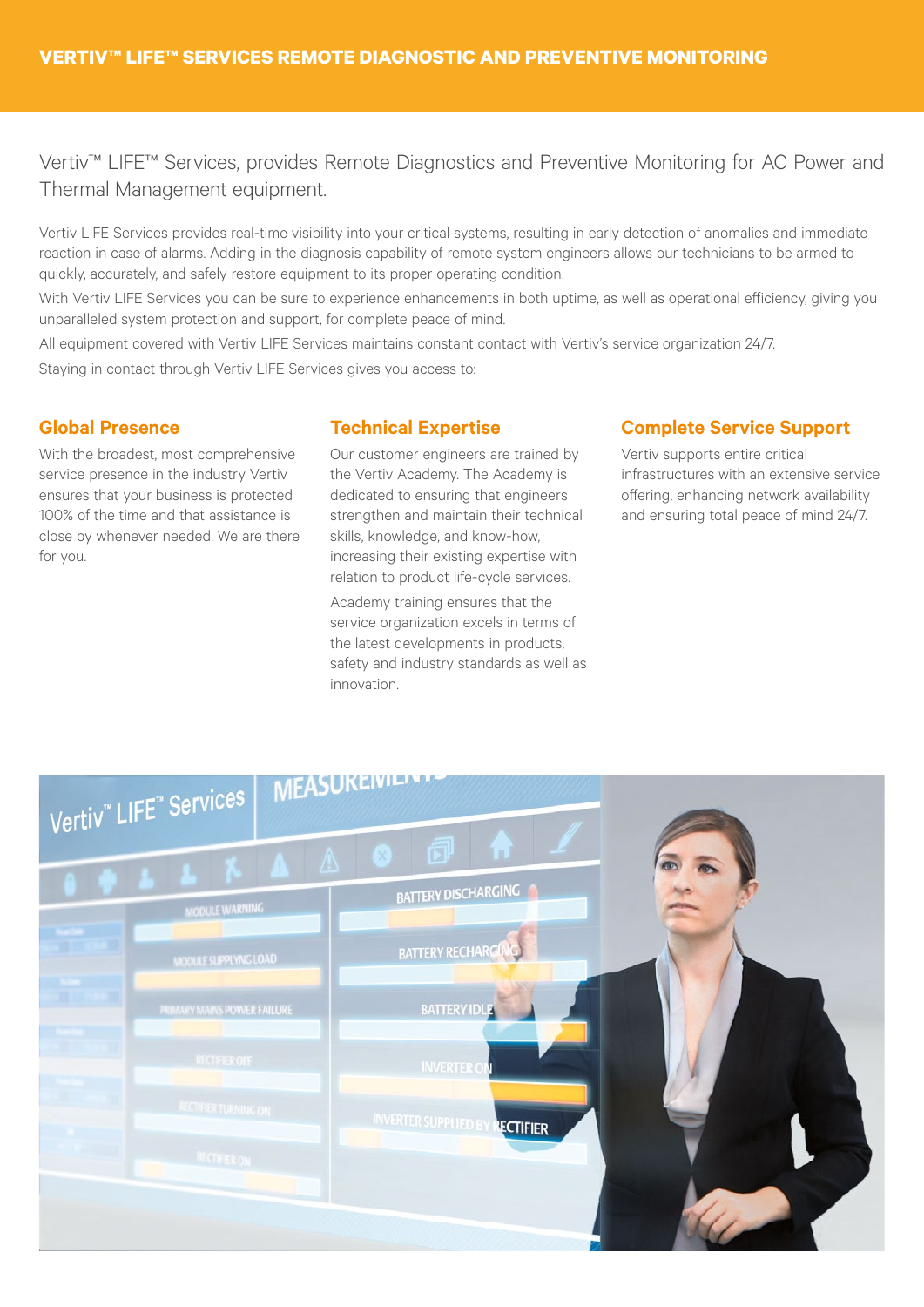Vertiv™ LIFE™ Services, provides Remote Diagnostics and Preventive Monitoring for AC Power and Thermal Management equipment.

Vertiv LIFE Services provides real-time visibility into your critical systems, resulting in early detection of anomalies and immediate reaction in case of alarms. Adding in the diagnosis capability of remote system engineers allows our technicians to be armed to quickly, accurately, and safely restore equipment to its proper operating condition.

With Vertiv LIFE Services you can be sure to experience enhancements in both uptime, as well as operational efficiency, giving you unparalleled system protection and support, for complete peace of mind.

All equipment covered with Vertiv LIFE Services maintains constant contact with Vertiv's service organization 24/7.

Staying in contact through Vertiv LIFE Services gives you access to:

## **Global Presence**

With the broadest, most comprehensive service presence in the industry Vertiv ensures that your business is protected 100% of the time and that assistance is close by whenever needed. We are there for you.

## **Technical Expertise**

Our customer engineers are trained by the Vertiv Academy. The Academy is dedicated to ensuring that engineers strengthen and maintain their technical skills, knowledge, and know-how, increasing their existing expertise with relation to product life-cycle services.

Academy training ensures that the service organization excels in terms of the latest developments in products, safety and industry standards as well as innovation.

## **Complete Service Support**

Vertiv supports entire critical infrastructures with an extensive service offering, enhancing network availability and ensuring total peace of mind 24/7.

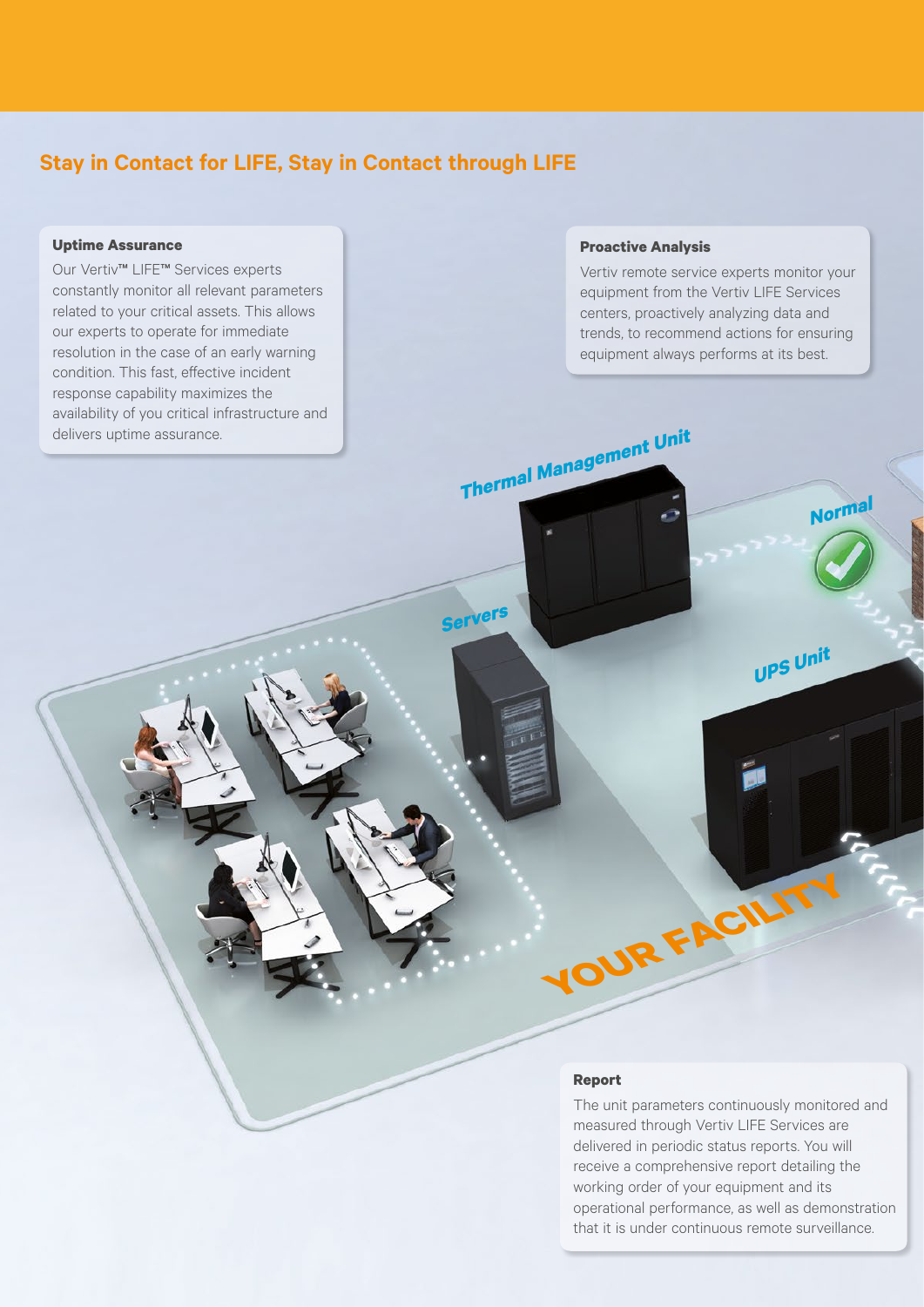# **Stay in Contact for LIFE, Stay in Contact through LIFE**

#### **Uptime Assurance**

Our Vertiv™ LIFE™ Services experts constantly monitor all relevant parameters related to your critical assets. This allows our experts to operate for immediate resolution in the case of an early warning condition. This fast, effective incident response capability maximizes the availability of you critical infrastructure and delivers uptime assurance.

#### **Proactive Analysis**

**Thermal Management Unit**

**Servers**

Vertiv remote service experts monitor your equipment from the Vertiv LIFE Services centers, proactively analyzing data and trends, to recommend actions for ensuring equipment always performs at its best.

**Norma<sup>l</sup>**

**UPS Unit**

#### **Report**

The unit parameters continuously monitored and measured through Vertiv LIFE Services are delivered in periodic status reports. You will receive a comprehensive report detailing the working order of your equipment and its operational performance, as well as demonstration that it is under continuous remote surveillance.

**YOUR FACILITY**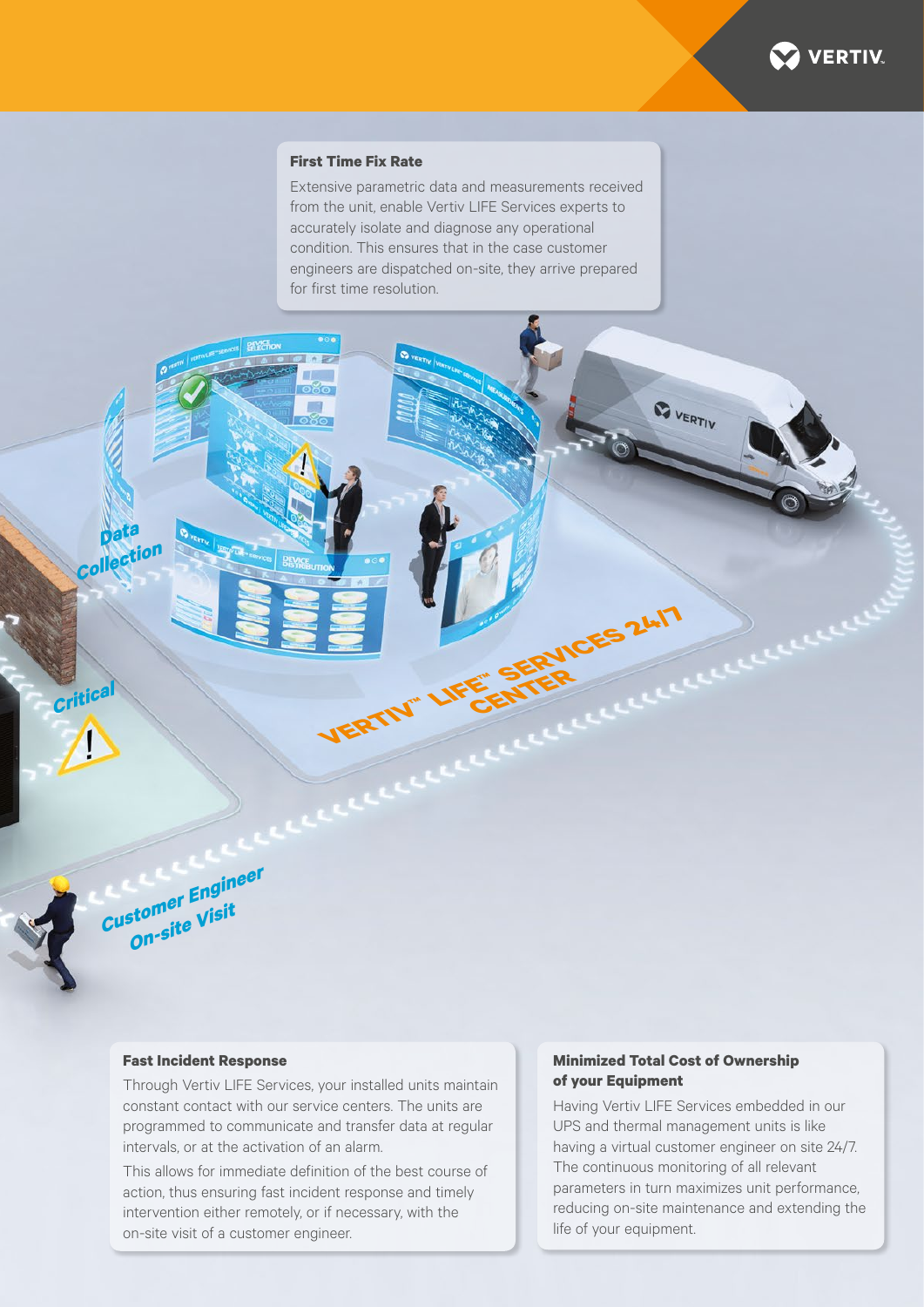

#### **First Time Fix Rate**

Extensive parametric data and measurements received from the unit, enable Vertiv LIFE Services experts to accurately isolate and diagnose any operational condition. This ensures that in the case customer engineers are dispatched on-site, they arrive prepared for first time resolution.

**VERTIV™ LIFE™ SERVICES 24/7 CENTER**

#### **Fast Incident Response**

**Customer Engineer On-site Visit**

**Critic** 

**Data Collectio<sup>n</sup>**

> Through Vertiv LIFE Services, your installed units maintain constant contact with our service centers. The units are programmed to communicate and transfer data at regular intervals, or at the activation of an alarm.

This allows for immediate definition of the best course of action, thus ensuring fast incident response and timely intervention either remotely, or if necessary, with the on-site visit of a customer engineer.

#### **Minimized Total Cost of Ownership of your Equipment**

**BUERTIV** 

Having Vertiv LIFE Services embedded in our UPS and thermal management units is like having a virtual customer engineer on site 24/7. The continuous monitoring of all relevant parameters in turn maximizes unit performance, reducing on-site maintenance and extending the life of your equipment.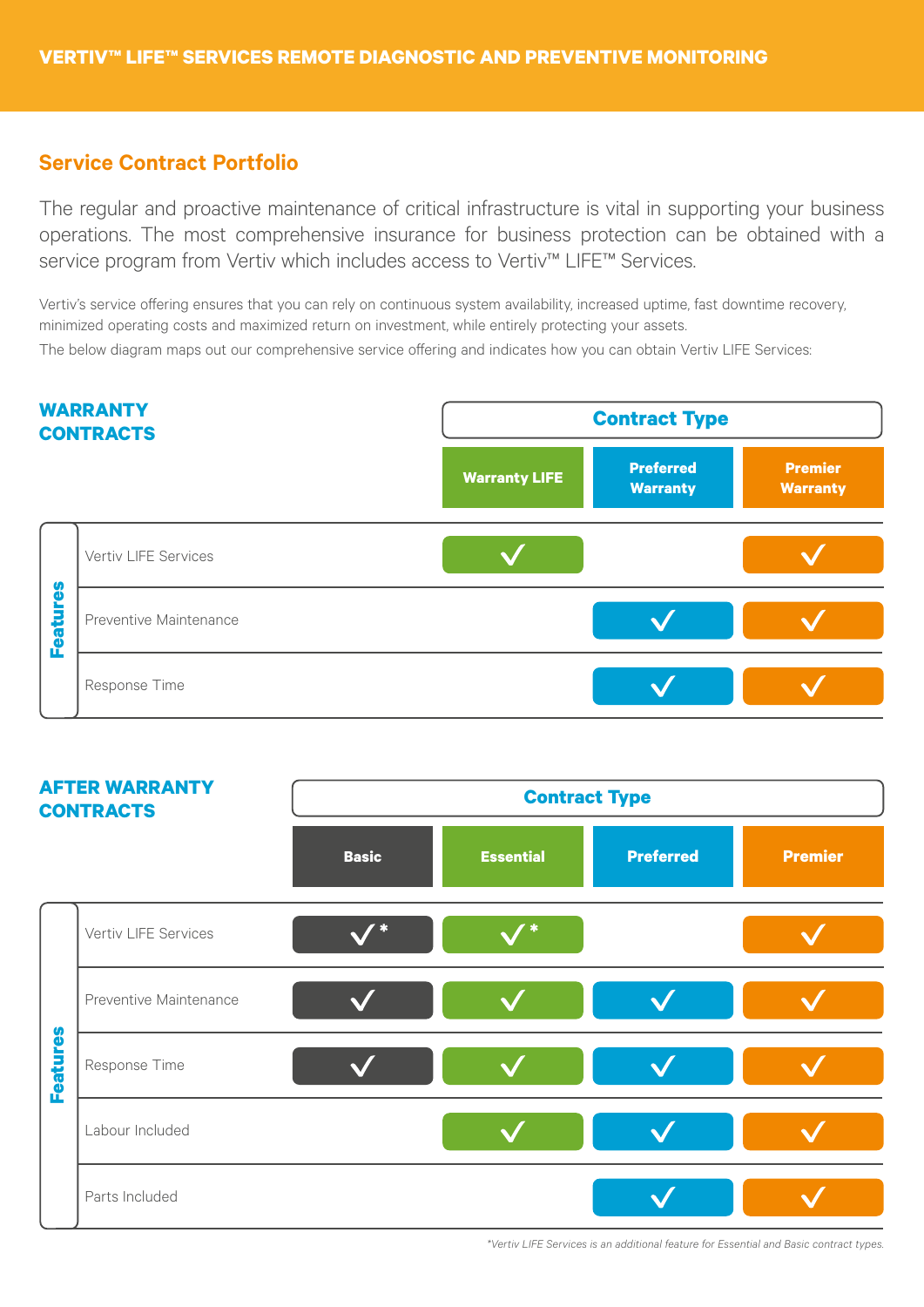# **Service Contract Portfolio**

The regular and proactive maintenance of critical infrastructure is vital in supporting your business operations. The most comprehensive insurance for business protection can be obtained with a service program from Vertiv which includes access to Vertiv™ LIFE™ Services.

Vertiv's service offering ensures that you can rely on continuous system availability, increased uptime, fast downtime recovery, minimized operating costs and maximized return on investment, while entirely protecting your assets. The below diagram maps out our comprehensive service offering and indicates how you can obtain Vertiv LIFE Services:





*\*Vertiv LIFE Services is an additional feature for Essential and Basic contract types.*